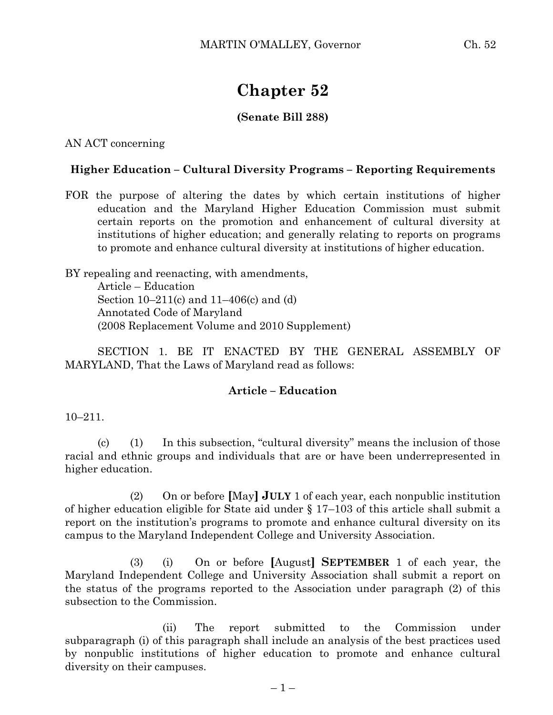# **Chapter 52**

## **(Senate Bill 288)**

AN ACT concerning

### **Higher Education – Cultural Diversity Programs – Reporting Requirements**

FOR the purpose of altering the dates by which certain institutions of higher education and the Maryland Higher Education Commission must submit certain reports on the promotion and enhancement of cultural diversity at institutions of higher education; and generally relating to reports on programs to promote and enhance cultural diversity at institutions of higher education.

BY repealing and reenacting, with amendments, Article – Education Section 10–211(c) and 11–406(c) and (d) Annotated Code of Maryland (2008 Replacement Volume and 2010 Supplement)

SECTION 1. BE IT ENACTED BY THE GENERAL ASSEMBLY OF MARYLAND, That the Laws of Maryland read as follows:

#### **Article – Education**

10–211.

(c) (1) In this subsection, "cultural diversity" means the inclusion of those racial and ethnic groups and individuals that are or have been underrepresented in higher education.

(2) On or before **[**May**] JULY** 1 of each year, each nonpublic institution of higher education eligible for State aid under § 17–103 of this article shall submit a report on the institution's programs to promote and enhance cultural diversity on its campus to the Maryland Independent College and University Association.

(3) (i) On or before **[**August**] SEPTEMBER** 1 of each year, the Maryland Independent College and University Association shall submit a report on the status of the programs reported to the Association under paragraph (2) of this subsection to the Commission.

(ii) The report submitted to the Commission under subparagraph (i) of this paragraph shall include an analysis of the best practices used by nonpublic institutions of higher education to promote and enhance cultural diversity on their campuses.